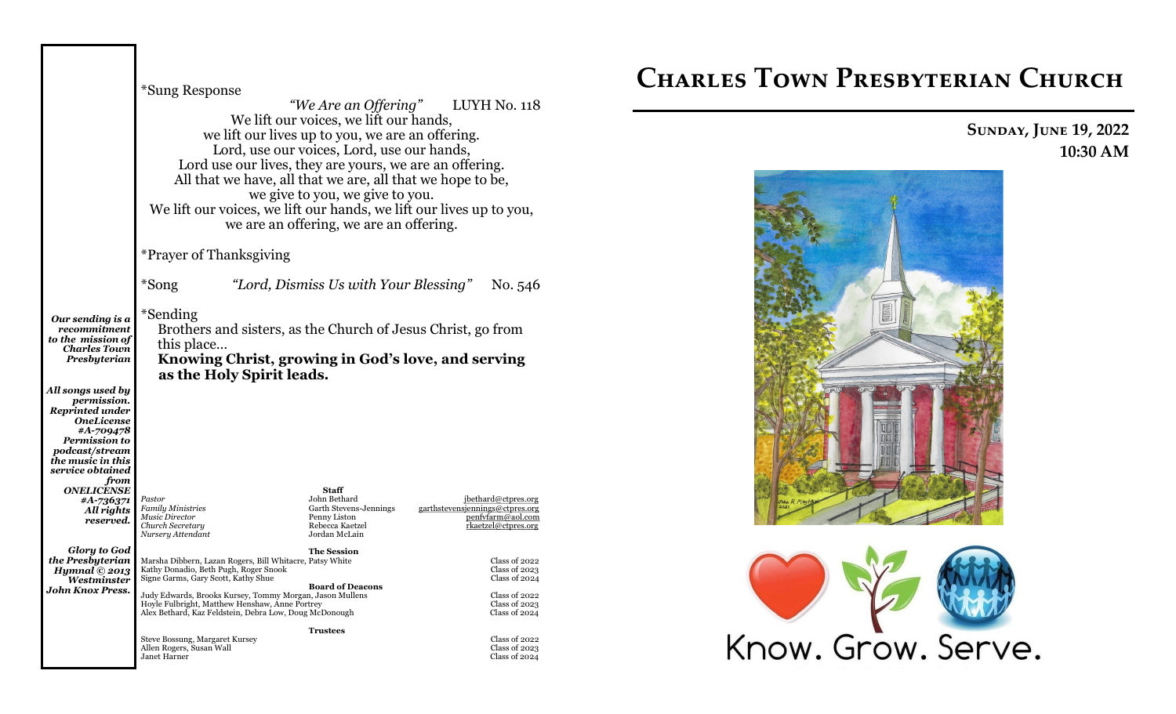|                                                                                                                                                                                        | *Sung Response<br>"We Are an Offering" LUYH No. 118<br>We lift our voices, we lift our hands,<br>we lift our lives up to you, we are an offering.<br>Lord, use our voices, Lord, use our hands,<br>Lord use our lives, they are yours, we are an offering.<br>All that we have, all that we are, all that we hope to be,<br>we give to you, we give to you.<br>We lift our voices, we lift our hands, we lift our lives up to you,<br>we are an offering, we are an offering. |                                                                                                            |                                                                                                      |  |  |
|----------------------------------------------------------------------------------------------------------------------------------------------------------------------------------------|-------------------------------------------------------------------------------------------------------------------------------------------------------------------------------------------------------------------------------------------------------------------------------------------------------------------------------------------------------------------------------------------------------------------------------------------------------------------------------|------------------------------------------------------------------------------------------------------------|------------------------------------------------------------------------------------------------------|--|--|
|                                                                                                                                                                                        | *Prayer of Thanksgiving                                                                                                                                                                                                                                                                                                                                                                                                                                                       |                                                                                                            |                                                                                                      |  |  |
|                                                                                                                                                                                        | *Song                                                                                                                                                                                                                                                                                                                                                                                                                                                                         | "Lord, Dismiss Us with Your Blessing"                                                                      | No. 546                                                                                              |  |  |
| Our sending is a<br>recommitment<br>to the mission of<br><b>Charles Town</b><br>Presbyterian                                                                                           | *Sending<br>Brothers and sisters, as the Church of Jesus Christ, go from<br>this place<br>Knowing Christ, growing in God's love, and serving<br>as the Holy Spirit leads.                                                                                                                                                                                                                                                                                                     |                                                                                                            |                                                                                                      |  |  |
| All songs used by<br>permission.<br><b>Reprinted under</b><br><b>OneLicense</b><br>#A-709478<br><b>Permission to</b><br><i>podcast/stream</i><br>the music in this<br>service obtained |                                                                                                                                                                                                                                                                                                                                                                                                                                                                               |                                                                                                            |                                                                                                      |  |  |
| from<br>ONELICENSE<br>#A-736371<br>All rights<br>reserved.                                                                                                                             | Pastor<br><b>Family Ministries</b><br>Music Director<br>Church Secretary<br>Nursery Attendant                                                                                                                                                                                                                                                                                                                                                                                 | <b>Staff</b><br>John Bethard<br>Garth Stevens-Jennings<br>Penny Liston<br>Rebecca Kaetzel<br>Jordan McLain | ibethard@ctpres.org<br>garthstevensiennings@ctpres.org<br>penfyfarm@aol.com<br>rkaetzel@ctpres.org   |  |  |
| <b>Glory to God</b><br>the Presbyterian<br>Hymnal $@$ 2013<br>Westminster<br><b>John Knox Press.</b>                                                                                   | Marsha Dibbern, Lazan Rogers, Bill Whitacre, Patsy White<br>Kathy Donadio, Beth Pugh, Roger Snook<br>Signe Garms, Gary Scott, Kathy Shue<br>Hoyle Fulbright, Matthew Henshaw, Anne Portrey<br>Alex Bethard, Kaz Feldstein, Debra Low, Doug McDonough                                                                                                                                                                                                                          | <b>The Session</b><br><b>Board of Deacons</b><br>Judy Edwards, Brooks Kursey, Tommy Morgan, Jason Mullens  | Class of 2022<br>Class of 2023<br>Class of 2024<br>Class of 2022<br>Class of $2023$<br>Class of 2024 |  |  |
|                                                                                                                                                                                        | Steve Bossung, Margaret Kursey<br>Allen Rogers, Susan Wall<br>Janet Harner                                                                                                                                                                                                                                                                                                                                                                                                    | <b>Trustees</b>                                                                                            | Class of 2022<br><b>Class of 2023</b><br>Class of 2024                                               |  |  |

# **Charles Town Presbyterian Church**

# **Sunday, June 19, 2022 10:30 AM**



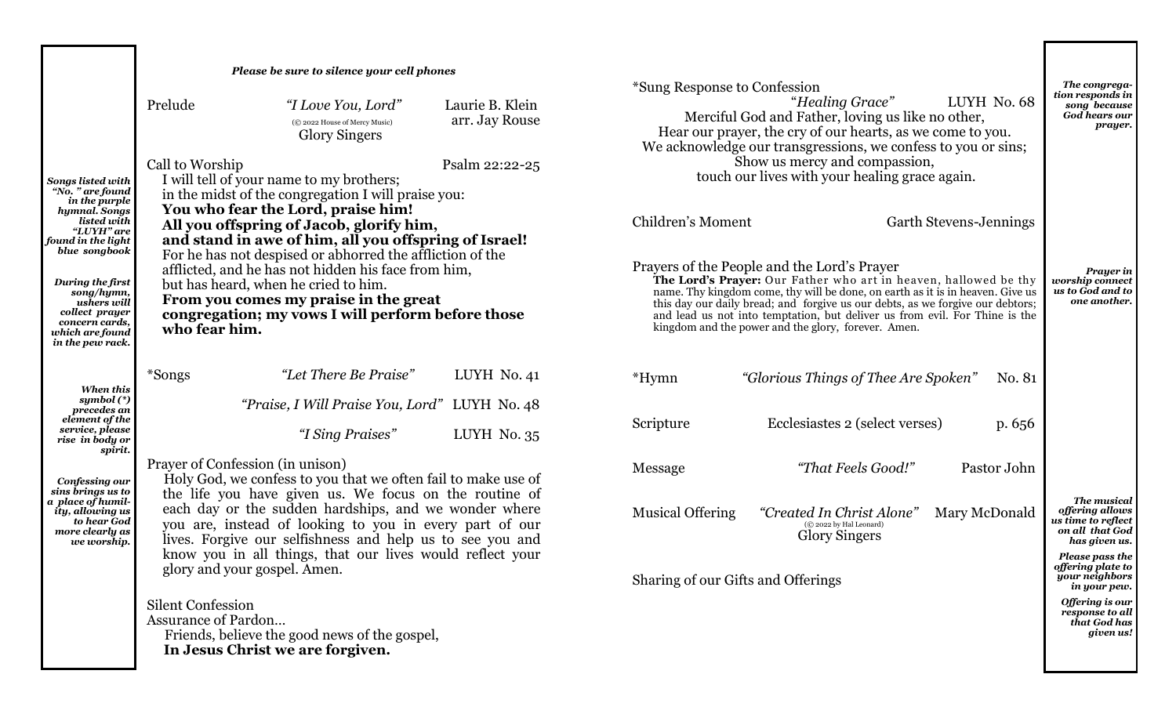|                                                                                                                          |                                                                                                                                                                                                                                                                                                                                                                                                                                                                                              | Please be sure to silence your cell phones                                                                                              |                                                                                                                                                                                                                                                                                                                                                                                                                           | *Sung Response to Confession |                                                                                                                                                                                                     |                               | The congrega-<br>tion responds in                                                        |
|--------------------------------------------------------------------------------------------------------------------------|----------------------------------------------------------------------------------------------------------------------------------------------------------------------------------------------------------------------------------------------------------------------------------------------------------------------------------------------------------------------------------------------------------------------------------------------------------------------------------------------|-----------------------------------------------------------------------------------------------------------------------------------------|---------------------------------------------------------------------------------------------------------------------------------------------------------------------------------------------------------------------------------------------------------------------------------------------------------------------------------------------------------------------------------------------------------------------------|------------------------------|-----------------------------------------------------------------------------------------------------------------------------------------------------------------------------------------------------|-------------------------------|------------------------------------------------------------------------------------------|
|                                                                                                                          | Prelude                                                                                                                                                                                                                                                                                                                                                                                                                                                                                      | "I Love You, Lord"<br>(C) 2022 House of Mercy Music)<br><b>Glory Singers</b>                                                            | Laurie B. Klein<br>arr. Jay Rouse                                                                                                                                                                                                                                                                                                                                                                                         |                              | "Healing Grace"<br>Merciful God and Father, loving us like no other,<br>Hear our prayer, the cry of our hearts, as we come to you.<br>We acknowledge our transgressions, we confess to you or sins; | LUYH No. 68                   | song because<br><b>God hears our</b><br>prayer.                                          |
| Songs listed with<br>"No. " are found                                                                                    | Call to Worship<br>Psalm 22:22-25<br>I will tell of your name to my brothers;<br>in the midst of the congregation I will praise you:                                                                                                                                                                                                                                                                                                                                                         |                                                                                                                                         |                                                                                                                                                                                                                                                                                                                                                                                                                           |                              | Show us mercy and compassion,<br>touch our lives with your healing grace again.                                                                                                                     |                               |                                                                                          |
| in the purple<br>hymnal. Songs<br>listed with<br>"LUYH" are<br>found in the light<br>blue songbook                       |                                                                                                                                                                                                                                                                                                                                                                                                                                                                                              | You who fear the Lord, praise him!<br>All you offspring of Jacob, glorify him,<br>and stand in awe of him, all you offspring of Israel! |                                                                                                                                                                                                                                                                                                                                                                                                                           | Children's Moment            |                                                                                                                                                                                                     | <b>Garth Stevens-Jennings</b> |                                                                                          |
| During the first<br>song/hymn,<br>ushers will<br>collect prayer<br>concern cards,<br>which are found<br>in the pew rack. | For he has not despised or abhorred the affliction of the<br>afflicted, and he has not hidden his face from him,<br>but has heard, when he cried to him.<br>From you comes my praise in the great<br>congregation; my vows I will perform before those<br>who fear him.                                                                                                                                                                                                                      |                                                                                                                                         | Prayers of the People and the Lord's Prayer<br>The Lord's Prayer: Our Father who art in heaven, hallowed be thy<br>name. Thy kingdom come, thy will be done, on earth as it is in heaven. Give us<br>this day our daily bread; and forgive us our debts, as we forgive our debtors;<br>and lead us not into temptation, but deliver us from evil. For Thine is the<br>kingdom and the power and the glory, forever. Amen. |                              | Prayer in<br>worship connect<br>us to God and to<br>one another.                                                                                                                                    |                               |                                                                                          |
| When this                                                                                                                | *Songs                                                                                                                                                                                                                                                                                                                                                                                                                                                                                       | "Let There Be Praise"                                                                                                                   | LUYH No. 41                                                                                                                                                                                                                                                                                                                                                                                                               | *Hymn                        | "Glorious Things of Thee Are Spoken"                                                                                                                                                                | No. 81                        |                                                                                          |
| symbol $(*)$<br>precedes an<br>element of the<br>service, please<br>rise in body or<br>spirit.                           |                                                                                                                                                                                                                                                                                                                                                                                                                                                                                              | "Praise, I Will Praise You, Lord" LUYH No. 48<br>"I Sing Praises"                                                                       | LUYH No. 35                                                                                                                                                                                                                                                                                                                                                                                                               | Scripture                    | Ecclesiastes 2 (select verses)                                                                                                                                                                      | p. 656                        |                                                                                          |
| Confessing our                                                                                                           | Prayer of Confession (in unison)<br>Holy God, we confess to you that we often fail to make use of<br>sins brings us to<br>the life you have given us. We focus on the routine of<br>each day or the sudden hardships, and we wonder where<br>to hear God<br>you are, instead of looking to you in every part of our<br>lives. Forgive our selfishness and help us to see you and<br>we worship.<br>know you in all things, that our lives would reflect your<br>glory and your gospel. Amen. |                                                                                                                                         |                                                                                                                                                                                                                                                                                                                                                                                                                           | Message                      | "That Feels Good!"                                                                                                                                                                                  | Pastor John                   |                                                                                          |
| a  place of humil-<br>ity, allowing us<br>more clearly as                                                                |                                                                                                                                                                                                                                                                                                                                                                                                                                                                                              |                                                                                                                                         |                                                                                                                                                                                                                                                                                                                                                                                                                           | <b>Musical Offering</b>      | "Created In Christ Alone"<br>(C) 2022 by Hal Leonard)<br><b>Glory Singers</b>                                                                                                                       | Mary McDonald                 | The musical<br>offering allows<br>us time to reflect<br>on all that God<br>has given us. |
|                                                                                                                          |                                                                                                                                                                                                                                                                                                                                                                                                                                                                                              |                                                                                                                                         | Sharing of our Gifts and Offerings                                                                                                                                                                                                                                                                                                                                                                                        |                              | Please pass the<br>offering plate to<br>your neighbors<br>in your pew.                                                                                                                              |                               |                                                                                          |
|                                                                                                                          | <b>Silent Confession</b><br><b>Assurance of Pardon</b>                                                                                                                                                                                                                                                                                                                                                                                                                                       | Friends, believe the good news of the gospel,<br>In Jesus Christ we are forgiven.                                                       |                                                                                                                                                                                                                                                                                                                                                                                                                           |                              |                                                                                                                                                                                                     |                               | Offering is our<br>response to all<br>that God has<br>given us!                          |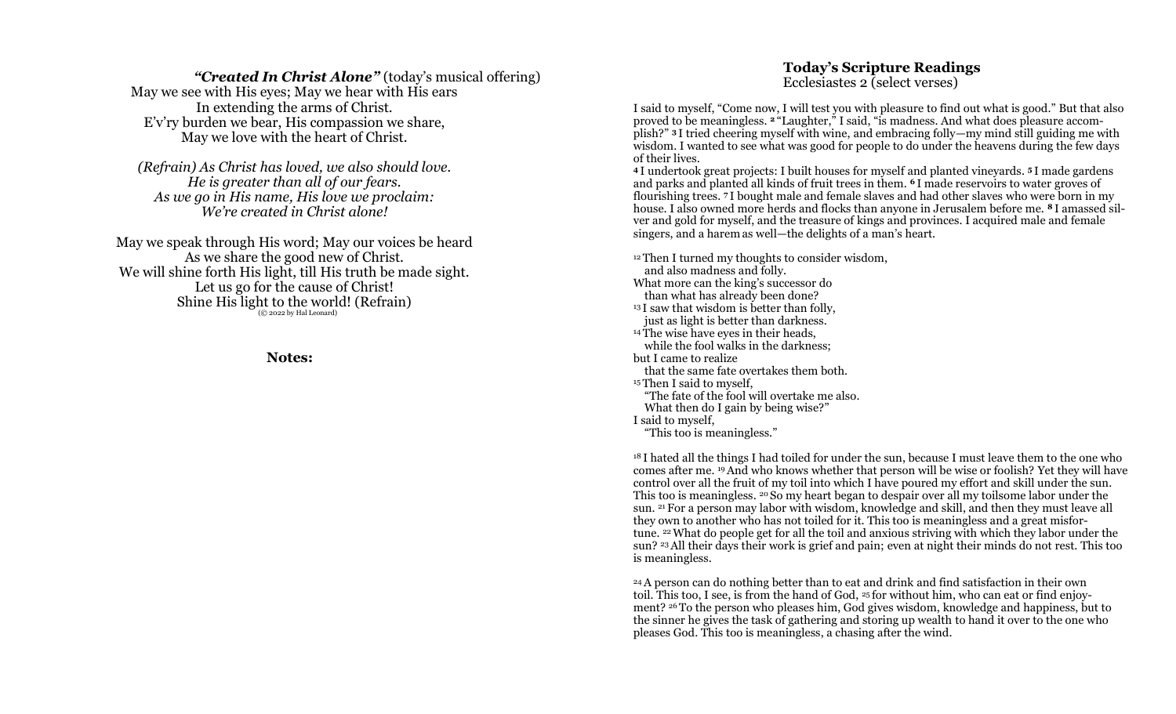### *"Created In Christ Alone"* (today's musical offering)

May we see with His eyes; May we hear with His ears In extending the arms of Christ. E'v'ry burden we bear, His compassion we share, May we love with the heart of Christ.

*(Refrain) As Christ has loved, we also should love. He is greater than all of our fears. As we go in His name, His love we proclaim: We're created in Christ alone!*

May we speak through His word; May our voices be heard As we share the good new of Christ. We will shine forth His light, till His truth be made sight. Let us go for the cause of Christ! Shine His light to the world! (Refrain) (© 2022 by Hal Leonard)

### **Notes:**

## **Today's Scripture Readings** Ecclesiastes 2 (select verses)

I said to myself, "Come now, I will test you with pleasure to find out what is good." But that also proved to be meaningless. **<sup>2</sup>** "Laughter," I said, "is madness. And what does pleasure accomplish?" **<sup>3</sup>** I tried cheering myself with wine, and embracing folly—my mind still guiding me with wisdom. I wanted to see what was good for people to do under the heavens during the few days of their lives.

**<sup>4</sup>** I undertook great projects: I built houses for myself and planted vineyards. **<sup>5</sup>** I made gardens and parks and planted all kinds of fruit trees in them. **<sup>6</sup>** I made reservoirs to water groves of flourishing trees. **<sup>7</sup>** I bought male and female slaves and had other slaves who were born in my house. I also owned more herds and flocks than anyone in Jerusalem before me. **<sup>8</sup>** I amassed silver and gold for myself, and the treasure of kings and provinces. I acquired male and female singers, and a harem as well—the delights of a man's heart.

<sup>12</sup> Then I turned my thoughts to consider wisdom, and also madness and folly. What more can the king's successor do than what has already been done? <sup>13</sup> I saw that wisdom is better than folly. just as light is better than darkness. <sup>14</sup> The wise have eyes in their heads, while the fool walks in the darkness; but I came to realize that the same fate overtakes them both. <sup>15</sup> Then I said to myself, "The fate of the fool will overtake me also. What then do I gain by being wise?" I said to myself, "This too is meaningless."

<sup>18</sup> I hated all the things I had toiled for under the sun, because I must leave them to the one who comes after me. <sup>19</sup>And who knows whether that person will be wise or foolish? Yet they will have control over all the fruit of my toil into which I have poured my effort and skill under the sun. This too is meaningless. <sup>20</sup> So my heart began to despair over all my toilsome labor under the sun. <sup>21</sup> For a person may labor with wisdom, knowledge and skill, and then they must leave all they own to another who has not toiled for it. This too is meaningless and a great misfortune. <sup>22</sup>What do people get for all the toil and anxious striving with which they labor under the sun? <sup>23</sup>All their days their work is grief and pain; even at night their minds do not rest. This too is meaningless.

<sup>24</sup>A person can do nothing better than to eat and drink and find satisfaction in their own toil. This too, I see, is from the hand of God, <sup>25</sup> for without him, who can eat or find enjoyment? <sup>26</sup> To the person who pleases him, God gives wisdom, knowledge and happiness, but to the sinner he gives the task of gathering and storing up wealth to hand it over to the one who pleases God. This too is meaningless, a chasing after the wind.